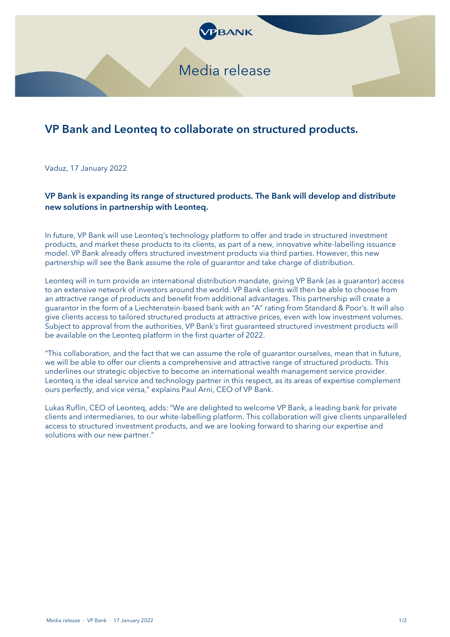

## VP Bank and Leonteq to collaborate on structured products.

Vaduz, 17 January 2022

VP Bank is expanding its range of structured products. The Bank will develop and distribute new solutions in partnership with Leonteq.

In future, VP Bank will use Leonteq's technology platform to offer and trade in structured investment products, and market these products to its clients, as part of a new, innovative white-labelling issuance model. VP Bank already offers structured investment products via third parties. However, this new partnership will see the Bank assume the role of guarantor and take charge of distribution.

Leonteq will in turn provide an international distribution mandate, giving VP Bank (as a guarantor) access to an extensive network of investors around the world. VP Bank clients will then be able to choose from an attractive range of products and benefit from additional advantages. This partnership will create a guarantor in the form of a Liechtenstein-based bank with an "A" rating from Standard & Poor's. It will also give clients access to tailored structured products at attractive prices, even with low investment volumes. Subject to approval from the authorities, VP Bank's first guaranteed structured investment products will be available on the Leonteq platform in the first quarter of 2022.

"This collaboration, and the fact that we can assume the role of guarantor ourselves, mean that in future, we will be able to offer our clients a comprehensive and attractive range of structured products. This underlines our strategic objective to become an international wealth management service provider. Leonteq is the ideal service and technology partner in this respect, as its areas of expertise complement ours perfectly, and vice versa," explains Paul Arni, CEO of VP Bank.

Lukas Ruflin, CEO of Leonteq, adds: "We are delighted to welcome VP Bank, a leading bank for private clients and intermediaries, to our white-labelling platform. This collaboration will give clients unparalleled access to structured investment products, and we are looking forward to sharing our expertise and solutions with our new partner."